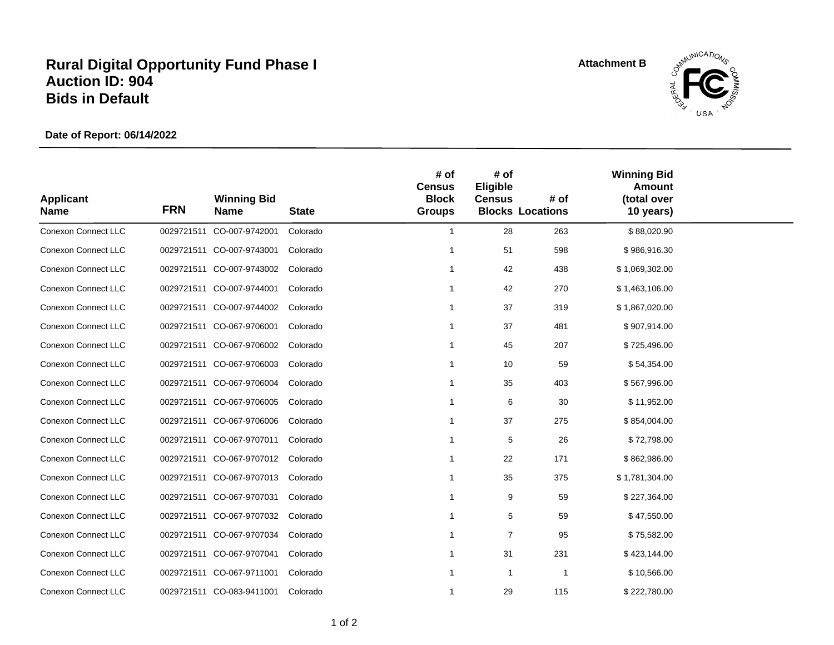## **Rural Digital Opportunity Fund Phase I Auction ID: 904 Bids in Default**

**Attachment B**



**Date of Report: 06/14/2022**

| <b>Applicant</b><br><b>Name</b> | <b>FRN</b> | <b>Winning Bid</b><br><b>Name</b> | <b>State</b> | # of<br><b>Census</b><br><b>Block</b><br><b>Groups</b> | # of<br>Eligible<br><b>Census</b> | # of<br><b>Blocks Locations</b> | <b>Winning Bid</b><br><b>Amount</b><br>(total over<br>10 years) |  |
|---------------------------------|------------|-----------------------------------|--------------|--------------------------------------------------------|-----------------------------------|---------------------------------|-----------------------------------------------------------------|--|
| <b>Conexon Connect LLC</b>      |            | 0029721511 CO-007-9742001         | Colorado     | $\mathbf{1}$                                           | 28                                | 263                             | \$88,020.90                                                     |  |
| <b>Conexon Connect LLC</b>      |            | 0029721511 CO-007-9743001         | Colorado     |                                                        | 51                                | 598                             | \$986,916.30                                                    |  |
| <b>Conexon Connect LLC</b>      |            | 0029721511 CO-007-9743002         | Colorado     |                                                        | 42                                | 438                             | \$1,069,302.00                                                  |  |
| <b>Conexon Connect LLC</b>      |            | 0029721511 CO-007-9744001         | Colorado     |                                                        | 42                                | 270                             | \$1,463,106.00                                                  |  |
| Conexon Connect LLC             |            | 0029721511 CO-007-9744002         | Colorado     |                                                        | 37                                | 319                             | \$1,867,020.00                                                  |  |
| <b>Conexon Connect LLC</b>      |            | 0029721511 CO-067-9706001         | Colorado     |                                                        | 37                                | 481                             | \$907,914.00                                                    |  |
| <b>Conexon Connect LLC</b>      |            | 0029721511 CO-067-9706002         | Colorado     |                                                        | 45                                | 207                             | \$725,496.00                                                    |  |
| Conexon Connect LLC             |            | 0029721511 CO-067-9706003         | Colorado     |                                                        | 10                                | 59                              | \$54,354.00                                                     |  |
| <b>Conexon Connect LLC</b>      |            | 0029721511 CO-067-9706004         | Colorado     |                                                        | 35                                | 403                             | \$567,996.00                                                    |  |
| <b>Conexon Connect LLC</b>      |            | 0029721511 CO-067-9706005         | Colorado     |                                                        | 6                                 | 30                              | \$11,952.00                                                     |  |
| <b>Conexon Connect LLC</b>      |            | 0029721511 CO-067-9706006         | Colorado     | 1                                                      | 37                                | 275                             | \$854,004.00                                                    |  |
| <b>Conexon Connect LLC</b>      |            | 0029721511 CO-067-9707011         | Colorado     |                                                        | 5                                 | 26                              | \$72,798.00                                                     |  |
| Conexon Connect LLC             |            | 0029721511 CO-067-9707012         | Colorado     |                                                        | 22                                | 171                             | \$862,986.00                                                    |  |
| <b>Conexon Connect LLC</b>      |            | 0029721511 CO-067-9707013         | Colorado     |                                                        | 35                                | 375                             | \$1,781,304.00                                                  |  |
| Conexon Connect LLC             |            | 0029721511 CO-067-9707031         | Colorado     |                                                        | 9                                 | 59                              | \$227,364.00                                                    |  |
| Conexon Connect LLC             |            | 0029721511 CO-067-9707032         | Colorado     |                                                        | 5                                 | 59                              | \$47,550.00                                                     |  |
| Conexon Connect LLC             |            | 0029721511 CO-067-9707034         | Colorado     |                                                        | $\overline{7}$                    | 95                              | \$75,582.00                                                     |  |
| <b>Conexon Connect LLC</b>      |            | 0029721511 CO-067-9707041         | Colorado     |                                                        | 31                                | 231                             | \$423,144.00                                                    |  |
| <b>Conexon Connect LLC</b>      |            | 0029721511 CO-067-9711001         | Colorado     |                                                        | $\mathbf{1}$                      | 1                               | \$10,566.00                                                     |  |
| <b>Conexon Connect LLC</b>      |            | 0029721511 CO-083-9411001         | Colorado     | 1                                                      | 29                                | 115                             | \$222,780.00                                                    |  |